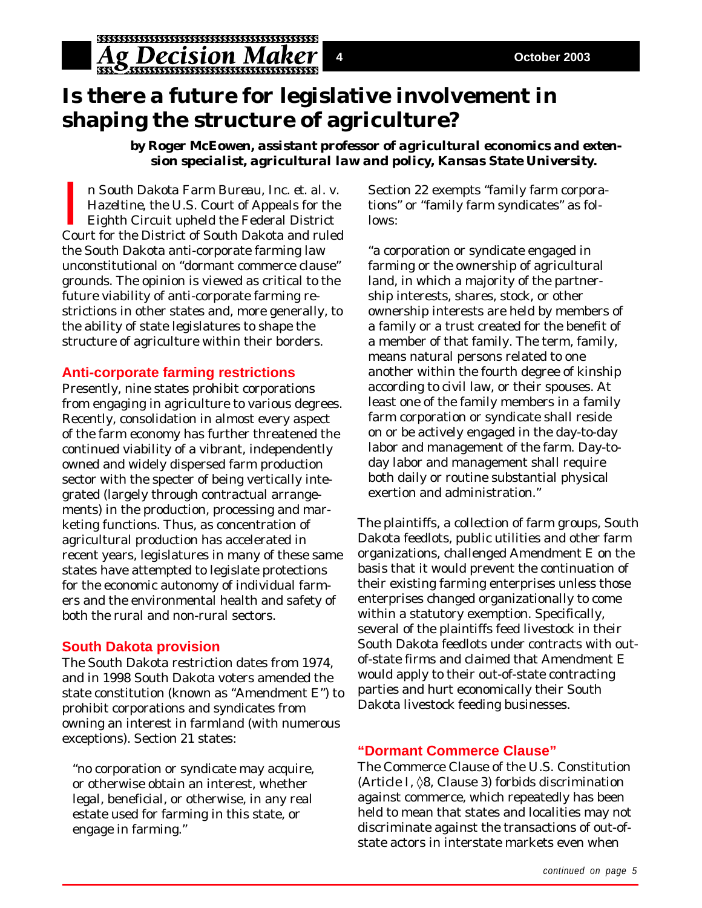# **Is there a future for legislative involvement in shaping the structure of agriculture?**

*by Roger McEowen, assistant professor of agricultural economics and extension specialist, agricultural law and policy, Kansas State University.*

In South Dakota Farm Bureau, Inc. et. al. v.<br>Hazeltine, the U.S. Court of Appeals for the<br>Eighth Circuit upheld the Federal District<br>Court for the District of South Dakota and ruled n *South Dakota Farm Bureau, Inc. et. al. v. Hazeltine*, the U.S. Court of Appeals for the Eighth Circuit upheld the Federal District the South Dakota anti-corporate farming law unconstitutional on "dormant commerce clause" grounds. The opinion is viewed as critical to the future viability of anti-corporate farming restrictions in other states and, more generally, to the ability of state legislatures to shape the structure of agriculture within their borders.

### **Anti-corporate farming restrictions**

Presently, nine states prohibit corporations from engaging in agriculture to various degrees. Recently, consolidation in almost every aspect of the farm economy has further threatened the continued viability of a vibrant, independently owned and widely dispersed farm production sector with the specter of being vertically integrated (largely through contractual arrangements) in the production, processing and marketing functions. Thus, as concentration of agricultural production has accelerated in recent years, legislatures in many of these same states have attempted to legislate protections for the economic autonomy of individual farmers and the environmental health and safety of both the rural and non-rural sectors.

### **South Dakota provision**

The South Dakota restriction dates from 1974, and in 1998 South Dakota voters amended the state constitution (known as "Amendment E") to prohibit corporations and syndicates from owning an interest in farmland (with numerous exceptions). Section 21 states:

"no corporation or syndicate may acquire, or otherwise obtain an interest, whether legal, beneficial, or otherwise, in any real estate used for farming in this state, or engage in farming."

Section 22 exempts "family farm corporations" or "family farm syndicates" as follows:

"a corporation or syndicate engaged in farming or the ownership of agricultural land, in which a majority of the partnership interests, shares, stock, or other ownership interests are held by members of a family or a trust created for the benefit of a member of that family. The term, family, means natural persons related to one another within the fourth degree of kinship according to civil law, or their spouses. At least one of the family members in a family farm corporation or syndicate shall reside on or be actively engaged in the day-to-day labor and management of the farm. Day-today labor and management shall require both daily or routine substantial physical exertion and administration."

The plaintiffs, a collection of farm groups, South Dakota feedlots, public utilities and other farm organizations, challenged Amendment E on the basis that it would prevent the continuation of their existing farming enterprises unless those enterprises changed organizationally to come within a statutory exemption. Specifically, several of the plaintiffs feed livestock in their South Dakota feedlots under contracts with outof-state firms and claimed that Amendment E would apply to their out-of-state contracting parties and hurt economically their South Dakota livestock feeding businesses.

## **"Dormant Commerce Clause"**

The Commerce Clause of the U.S. Constitution (Article I, ◊8, Clause 3) forbids discrimination against commerce, which repeatedly has been held to mean that states and localities may not discriminate against the transactions of out-ofstate actors in interstate markets even when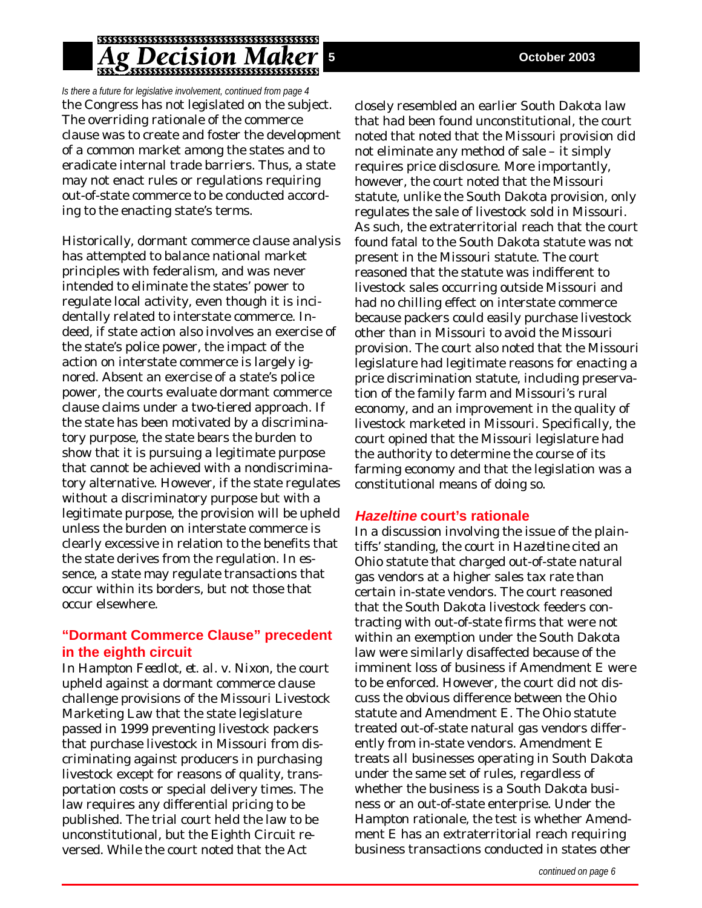## **Ag Decision Maker**

*Is there a future for legislative involvement, continued from page 4* the Congress has not legislated on the subject. The overriding rationale of the commerce clause was to create and foster the development of a common market among the states and to eradicate internal trade barriers. Thus, a state may not enact rules or regulations requiring out-of-state commerce to be conducted according to the enacting state's terms.

Historically, dormant commerce clause analysis has attempted to balance national market principles with federalism, and was never intended to eliminate the states' power to regulate local activity, even though it is incidentally related to interstate commerce. Indeed, if state action also involves an exercise of the state's police power, the impact of the action on interstate commerce is largely ignored. Absent an exercise of a state's police power, the courts evaluate dormant commerce clause claims under a two-tiered approach. If the state has been motivated by a discriminatory purpose, the state bears the burden to show that it is pursuing a legitimate purpose that cannot be achieved with a nondiscriminatory alternative. However, if the state regulates without a discriminatory purpose but with a legitimate purpose, the provision will be upheld unless the burden on interstate commerce is clearly excessive in relation to the benefits that the state derives from the regulation. In essence, a state may regulate transactions that occur within its borders, but not those that occur elsewhere.

### **"Dormant Commerce Clause" precedent in the eighth circuit**

In *Hampton Feedlot, et. al. v. Nixon*, the court upheld against a dormant commerce clause challenge provisions of the Missouri Livestock Marketing Law that the state legislature passed in 1999 preventing livestock packers that purchase livestock in Missouri from discriminating against producers in purchasing livestock except for reasons of quality, transportation costs or special delivery times. The law requires any differential pricing to be published. The trial court held the law to be unconstitutional, but the Eighth Circuit reversed. While the court noted that the Act

closely resembled an earlier South Dakota law that had been found unconstitutional, the court noted that noted that the Missouri provision did not eliminate any method of sale – it simply requires price disclosure. More importantly, however, the court noted that the Missouri statute, unlike the South Dakota provision, only regulates the sale of livestock sold in Missouri. As such, the extraterritorial reach that the court found fatal to the South Dakota statute was not present in the Missouri statute. The court reasoned that the statute was indifferent to livestock sales occurring outside Missouri and had no chilling effect on interstate commerce because packers could easily purchase livestock other than in Missouri to avoid the Missouri provision. The court also noted that the Missouri legislature had legitimate reasons for enacting a price discrimination statute, including preservation of the family farm and Missouri's rural economy, and an improvement in the quality of livestock marketed in Missouri. Specifically, the court opined that the Missouri legislature had the authority to determine the course of its farming economy and that the legislation was a constitutional means of doing so.

### **Hazeltine court's rationale**

In a discussion involving the issue of the plaintiffs' standing, the court in *Hazeltine* cited an Ohio statute that charged out-of-state natural gas vendors at a higher sales tax rate than certain in-state vendors. The court reasoned that the South Dakota livestock feeders contracting with out-of-state firms that were not within an exemption under the South Dakota law were similarly disaffected because of the imminent loss of business if Amendment E were to be enforced. However, the court did not discuss the obvious difference between the Ohio statute and Amendment E. The Ohio statute treated out-of-state natural gas vendors differently from in-state vendors. Amendment E treats *all* businesses operating in South Dakota under the same set of rules, regardless of whether the business is a South Dakota business or an out-of-state enterprise. Under the *Hampton* rationale, the test is whether Amendment E has an extraterritorial reach requiring business transactions conducted in states other